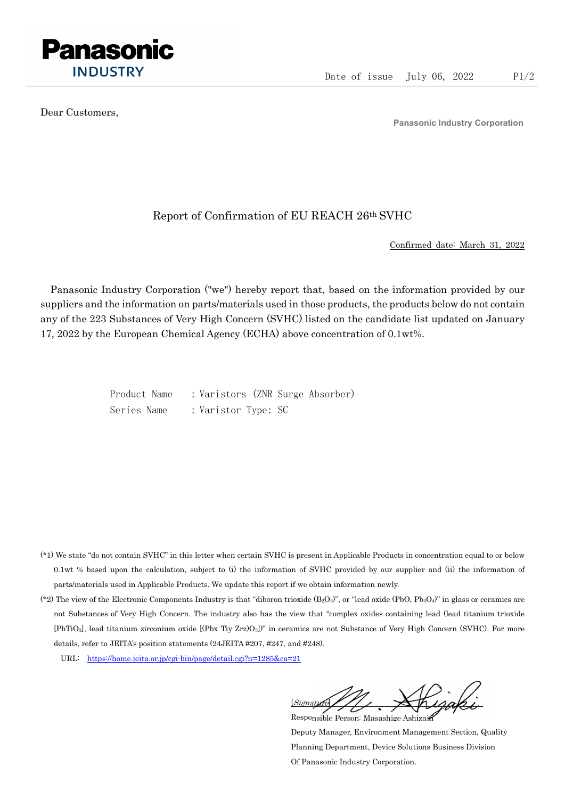

Dear Customers,

Panasonic Industry Corporation

## Report of Confirmation of EU REACH 26th SVHC

Confirmed date: March 31, 2022

Panasonic Industry Corporation ("we") hereby report that, based on the information provided by our suppliers and the information on parts/materials used in those products, the products below do not contain any of the 223 Substances of Very High Concern (SVHC) listed on the candidate list updated on January 17, 2022 by the European Chemical Agency (ECHA) above concentration of 0.1wt%.

> Product Name : Varistors (ZNR Surge Absorber) Series Name : Varistor Type: SC

- (\*1) We state "do not contain SVHC" in this letter when certain SVHC is present in Applicable Products in concentration equal to or below 0.1wt % based upon the calculation, subject to (i) the information of SVHC provided by our supplier and (ii) the information of parts/materials used in Applicable Products. We update this report if we obtain information newly.
- (\*2) The view of the Electronic Components Industry is that "diboron trioxide  $(B_2O_3)$ ", or "lead oxide (PbO, Pb<sub>3</sub>O<sub>4</sub>)" in glass or ceramics are not Substances of Very High Concern. The industry also has the view that "complex oxides containing lead (lead titanium trioxide [PbTiO3], lead titanium zirconium oxide [(Pbx Tiy Zrz)O3])" in ceramics are not Substance of Very High Concern (SVHC). For more details, refer to JEITA's position statements (24JEITA #207, #247, and #248).
	- URL: https://home.jeita.or.jp/cgi-bin/page/detail.cgi?n=1285&ca=21

[Signature] Responsible Person: Masashige Ashizaki

Deputy Manager, Environment Management Section, Quality Planning Department, Device Solutions Business Division Of Panasonic Industry Corporation.